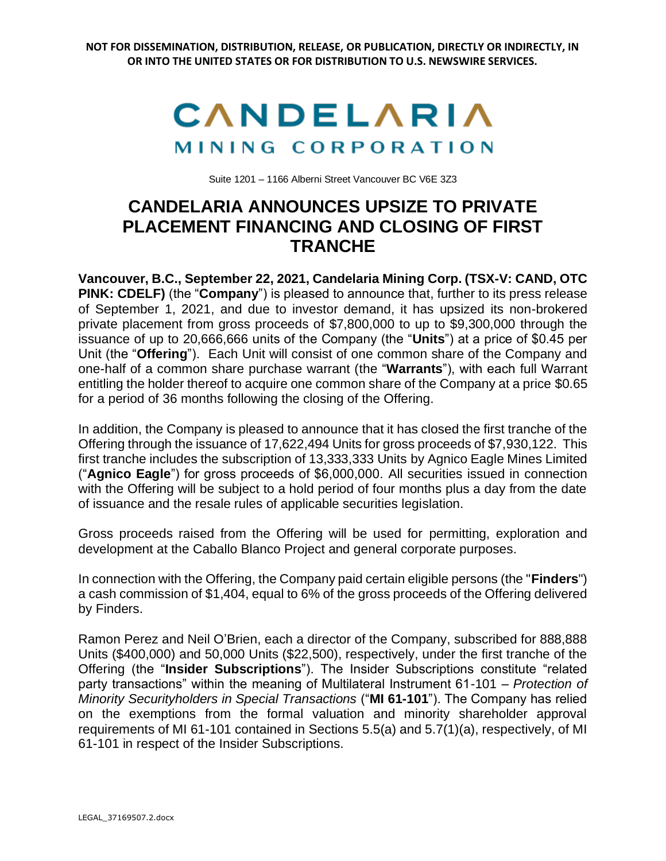## CANDELARIA MINING CORPORATION

Suite 1201 – 1166 Alberni Street Vancouver BC V6E 3Z3

## **CANDELARIA ANNOUNCES UPSIZE TO PRIVATE PLACEMENT FINANCING AND CLOSING OF FIRST TRANCHE**

**Vancouver, B.C., September 22, 2021, Candelaria Mining Corp. (TSX-V: CAND, OTC PINK: CDELF)** (the "**Company**") is pleased to announce that, further to its press release of September 1, 2021, and due to investor demand, it has upsized its non-brokered private placement from gross proceeds of \$7,800,000 to up to \$9,300,000 through the issuance of up to 20,666,666 units of the Company (the "**Units**") at a price of \$0.45 per Unit (the "**Offering**"). Each Unit will consist of one common share of the Company and one-half of a common share purchase warrant (the "**Warrants**"), with each full Warrant entitling the holder thereof to acquire one common share of the Company at a price \$0.65 for a period of 36 months following the closing of the Offering.

In addition, the Company is pleased to announce that it has closed the first tranche of the Offering through the issuance of 17,622,494 Units for gross proceeds of \$7,930,122. This first tranche includes the subscription of 13,333,333 Units by Agnico Eagle Mines Limited ("**Agnico Eagle**") for gross proceeds of \$6,000,000. All securities issued in connection with the Offering will be subject to a hold period of four months plus a day from the date of issuance and the resale rules of applicable securities legislation.

Gross proceeds raised from the Offering will be used for permitting, exploration and development at the Caballo Blanco Project and general corporate purposes.

In connection with the Offering, the Company paid certain eligible persons (the "**Finders**") a cash commission of \$1,404, equal to 6% of the gross proceeds of the Offering delivered by Finders.

Ramon Perez and Neil O'Brien, each a director of the Company, subscribed for 888,888 Units (\$400,000) and 50,000 Units (\$22,500), respectively, under the first tranche of the Offering (the "**Insider Subscriptions**"). The Insider Subscriptions constitute "related party transactions" within the meaning of Multilateral Instrument 61-101 – *Protection of Minority Securityholders in Special Transactions* ("**MI 61-101**"). The Company has relied on the exemptions from the formal valuation and minority shareholder approval requirements of MI 61-101 contained in Sections 5.5(a) and 5.7(1)(a), respectively, of MI 61-101 in respect of the Insider Subscriptions.